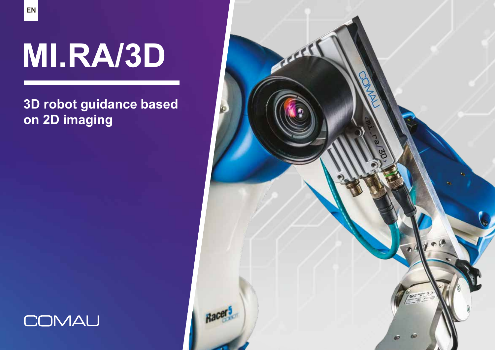# **MI.RA/3D**

## **3D robot guidance based on 2D imaging**



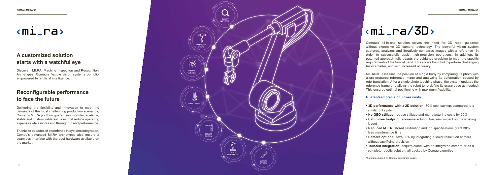Comau's all-in-one solution solves the need for 3D robot guidance without expensive 3D camera technology. The powerful vision system captures, analyzes and iteratively compares images with a reference in order to successfully assist high-precision operations. In addition, its patented approach fully adapts the guidance precision to meet the specific requirements of the task at hand. This allows the robot to perform challenging tasks smarter, and with increased accuracy.

MI.RA/3D assesses the position of a rigid body by comparing its photo with a pre-prepared reference image and analyzing its deformation caused by roto-translation. After a single photo teaching phase, the system updates the reference frame and allows the robot to re-define its grasp pose as needed. This ensures optimal positioning with maximum flexibility.

#### **Guaranteed precision, lower costs.**

- **3D performance with a 2D solution:** 70% cost savings compared to a similar 3D system
- **No GEO stillage:** reduce stillage and manufacturing costs by 20%
- **Cabin-free footprint:** all-in-one solution has zero impact on the existing layout
- **Reduced MTTR:** stored calibration and job specifications grant 30% less maintenance time
- **Camera options:** save 30% by integrating a lower resolution camera, without sacrificing precision
- **Tailored integration:** acquire alone, with an integrated camera or as a complete robotic solution, all backed by Comau expertise

\*Estimates based on Comau application cases

### **Reconfigurable performance to face the future**

Delivering the flexibility and innovation to meet the demands of the most challenging production scenarios, Comau's MI.RA portfolio guarantees modular, scalable, stable and customizable solutions that reduce operating expenses while increasing throughput and performance.

Thanks to decades of experience in systems integration, Comau's advanced MI.RA archetypes also ensure a seamless interface with the best hardware available on the market.



### **A customized solution starts with a watchful eye**

Discover MI.RA, Machine Inspection and Recognition Archetypes: Comau's flexible vision systems portfolio empowered by artificial intelligence.

## $\langle \texttt{mi}\_\texttt{ra}/\texttt{3D}\rangle$

## $\overline{m}$   $\overline{m}$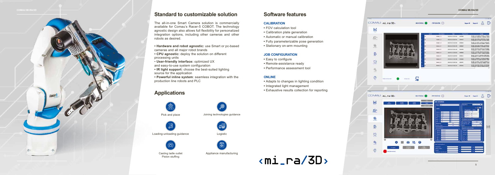

#### **Standard to customizable solution**

The all-in-one Smart Camera solution is commercially available for Comau's Racer-5 COBOT. The technology agnostic design also allows full flexibility for personalized integration options, including other cameras and other robots as desired.

- **Hardware and robot agnostic:** use Smart or pc-based cameras and all major robot brands
- **CPU agnostic:** deploy the solution on different processing units
- • **User-friendly interface:** optimized UX and easy-to-use system configuration
- **IR light support:** choose the best-suited lighting source for the application

**• Powerful inline system**: seamless integration with the production line robots and PLC

### **Applications**



Pick and place Joining technologies guidance



Loading-unloading guidance Logistic



#### **Software features**

#### **CALIBRATION**

- FOV calculation tool
- Calibration plate generation
- Automatic or manual calibration
- Fully parameterizable pose generation
- Stationary on-arm mounting

#### **JOB CONFIGURATION**

- Easy to configure
- Remote-assistance ready
- Performance assessment tool

#### **ONLINE**

- Adapts to changes in lighting condition
- Integrated light management
- Exhaustive results collection for reporting

## $\langle \texttt{mi}\_\texttt{rad}/\texttt{3D}\rangle$

Casting ladle outlet Piston stuffing





Appliance manufacturing

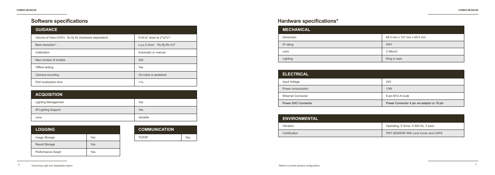### **Software specifications Hardware specifications\***

| <b>ACQUISITION</b>         |          |
|----------------------------|----------|
| <b>Lighting Management</b> | Yes      |
| IR Lighting Support        | Yes      |
| Lens                       | Variable |

| <b>LOGGING</b>        |     |
|-----------------------|-----|
| Image Storage         | Yes |
| <b>Result Storage</b> | Yes |
| Performance Graph     | Yes |

| <b>COMMUNICATION</b> |     |
|----------------------|-----|
| <b>TCP/IP</b>        | Yes |

| <b>MECHANICAL</b> |                            |
|-------------------|----------------------------|
| Dimension         | 68.5 mm x 127 mm x 65.5 mm |
| IP rating         | IP67                       |
| Lens              | C-Mount                    |
| Lighting          | Ring or bars               |

| <b>ENVIRONMENTAL</b> |                                             |
|----------------------|---------------------------------------------|
| Vibration            | Operating, 5 Grms, 5-500 Hz, 3 axes         |
| Certification        | <b>IP67 SENSOR With Lens Cover and CAPS</b> |

| <b>ELECTRICAL</b>         |                                             |
|---------------------------|---------------------------------------------|
| Input Voltage             | 24V                                         |
| Power consumption         | <b>13W</b>                                  |
| <b>Ethernet Connector</b> | 8 pin M12 A Code                            |
| Power /DIO Connector      | Power Connector 4 pin via adaptor or 19 pin |

| <b>GUIDANCE</b>                                      |                                           |  |
|------------------------------------------------------|-------------------------------------------|--|
| Volume of View (VOV) - δx δy δz (hardware dependent) | $8'x4'x2'$ down to $2"x2"x1"$             |  |
| Best resolution*:                                    | $Rx, Ry, Rx 0.5^\circ$<br>$x, y, z$ 0,3mm |  |
| Calibration                                          | Automatic or manual                       |  |
| Max number of models                                 | 255                                       |  |
| Offline testing                                      | Yes                                       |  |
| Camera mounting                                      | On-robot or pedestral                     |  |
| Part localization time                               | $<$ 1s                                    |  |